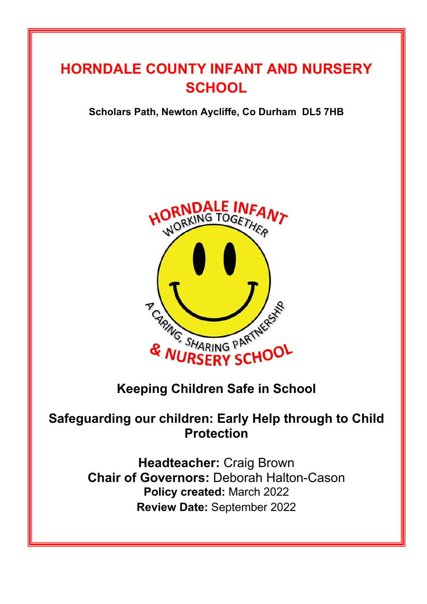# **HORNDALE COUNTY INFANT AND NURSERY SCHOOL**

## **Scholars Path, Newton Aycliffe, Co Durham DL5 7HB**



# **Keeping Children Safe in School**

# **Safeguarding our children: Early Help through to Child Protection**

**Headteacher:** Craig Brown **Chair of Governors:** Deborah Halton-Cason **Policy created:** March 2022 **Review Date:** September 2022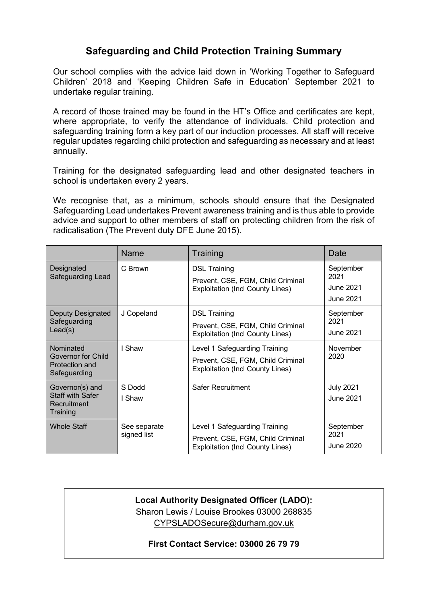## **Safeguarding and Child Protection Training Summary**

Our school complies with the advice laid down in 'Working Together to Safeguard Children' 2018 and 'Keeping Children Safe in Education' September 2021 to undertake regular training.

A record of those trained may be found in the HT's Office and certificates are kept, where appropriate, to verify the attendance of individuals. Child protection and safeguarding training form a key part of our induction processes. All staff will receive regular updates regarding child protection and safeguarding as necessary and at least annually.

Training for the designated safeguarding lead and other designated teachers in school is undertaken every 2 years.

We recognise that, as a minimum, schools should ensure that the Designated Safeguarding Lead undertakes Prevent awareness training and is thus able to provide advice and support to other members of staff on protecting children from the risk of radicalisation (The Prevent duty DFE June 2015).

|                                                                       | Name                        | Training                                                                                                      | Date                                        |
|-----------------------------------------------------------------------|-----------------------------|---------------------------------------------------------------------------------------------------------------|---------------------------------------------|
| Designated<br>Safeguarding Lead                                       | C Brown                     | <b>DSL Training</b><br>Prevent, CSE, FGM, Child Criminal<br><b>Exploitation (Incl County Lines)</b>           | September<br>2021<br>June 2021<br>June 2021 |
| Deputy Designated<br>Safeguarding<br>Lead(s)                          | J Copeland                  | <b>DSL Training</b><br>Prevent, CSE, FGM, Child Criminal<br><b>Exploitation (Incl County Lines)</b>           | September<br>2021<br>June 2021              |
| Nominated<br>Governor for Child<br>Protection and<br>Safeguarding     | I Shaw                      | Level 1 Safeguarding Training<br>Prevent, CSE, FGM, Child Criminal<br><b>Exploitation (Incl County Lines)</b> | November<br>2020                            |
| Governor(s) and<br><b>Staff with Safer</b><br>Recruitment<br>Training | S Dodd<br>l Shaw            | Safer Recruitment                                                                                             | <b>July 2021</b><br><b>June 2021</b>        |
| <b>Whole Staff</b>                                                    | See separate<br>signed list | Level 1 Safeguarding Training<br>Prevent, CSE, FGM, Child Criminal<br><b>Exploitation (Incl County Lines)</b> | September<br>2021<br>June 2020              |

#### **Local Authority Designated Officer (LADO):** Sharon Lewis / Louise Brookes 03000 268835 CYPSLADOSecure@durham.gov.uk

#### **First Contact Service: 03000 26 79 79**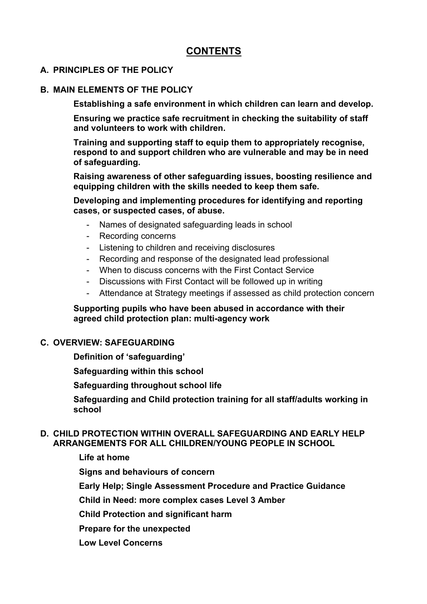## **CONTENTS**

#### **A. PRINCIPLES OF THE POLICY**

#### **B. MAIN ELEMENTS OF THE POLICY**

**Establishing a safe environment in which children can learn and develop.**

**Ensuring we practice safe recruitment in checking the suitability of staff and volunteers to work with children.**

**Training and supporting staff to equip them to appropriately recognise, respond to and support children who are vulnerable and may be in need of safeguarding.**

**Raising awareness of other safeguarding issues, boosting resilience and equipping children with the skills needed to keep them safe.**

**Developing and implementing procedures for identifying and reporting cases, or suspected cases, of abuse.**

- Names of designated safeguarding leads in school
- Recording concerns
- Listening to children and receiving disclosures
- Recording and response of the designated lead professional
- When to discuss concerns with the First Contact Service
- Discussions with First Contact will be followed up in writing
- Attendance at Strategy meetings if assessed as child protection concern

#### **Supporting pupils who have been abused in accordance with their agreed child protection plan: multi-agency work**

#### **C. OVERVIEW: SAFEGUARDING**

**Definition of 'safeguarding'**

**Safeguarding within this school**

**Safeguarding throughout school life**

**Safeguarding and Child protection training for all staff/adults working in school**

#### **D. CHILD PROTECTION WITHIN OVERALL SAFEGUARDING AND EARLY HELP ARRANGEMENTS FOR ALL CHILDREN/YOUNG PEOPLE IN SCHOOL**

**Life at home**

**Signs and behaviours of concern**

**Early Help; Single Assessment Procedure and Practice Guidance**

**Child in Need: more complex cases Level 3 Amber**

**Child Protection and significant harm**

**Prepare for the unexpected**

**Low Level Concerns**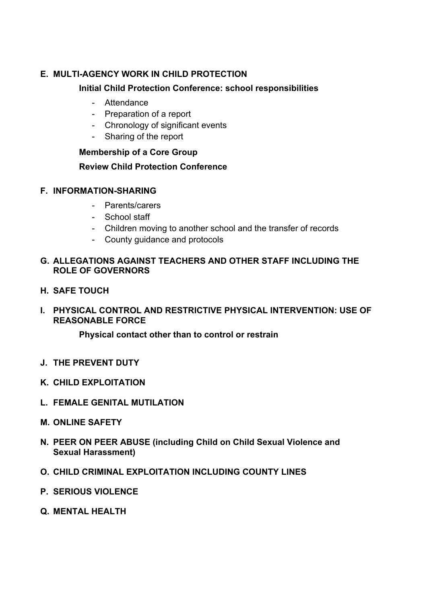### **E. MULTI-AGENCY WORK IN CHILD PROTECTION**

#### **Initial Child Protection Conference: school responsibilities**

- Attendance
- Preparation of a report
- Chronology of significant events
- Sharing of the report

#### **Membership of a Core Group**

#### **Review Child Protection Conference**

#### **F. INFORMATION-SHARING**

- Parents/carers
- School staff
- Children moving to another school and the transfer of records
- County guidance and protocols

#### **G. ALLEGATIONS AGAINST TEACHERS AND OTHER STAFF INCLUDING THE ROLE OF GOVERNORS**

- **H. SAFE TOUCH**
- **I. PHYSICAL CONTROL AND RESTRICTIVE PHYSICAL INTERVENTION: USE OF REASONABLE FORCE**

**Physical contact other than to control or restrain**

- **J. THE PREVENT DUTY**
- **K. CHILD EXPLOITATION**
- **L. FEMALE GENITAL MUTILATION**
- **M. ONLINE SAFETY**
- **N. PEER ON PEER ABUSE (including Child on Child Sexual Violence and Sexual Harassment)**
- **O. CHILD CRIMINAL EXPLOITATION INCLUDING COUNTY LINES**
- **P. SERIOUS VIOLENCE**
- **Q. MENTAL HEALTH**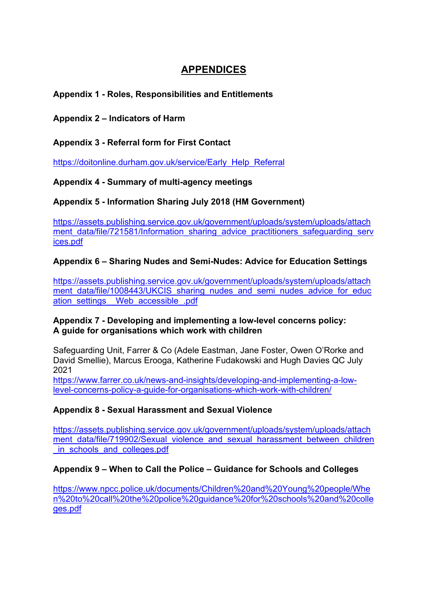## **APPENDICES**

#### **Appendix 1 - Roles, Responsibilities and Entitlements**

**Appendix 2 – Indicators of Harm**

**Appendix 3 - Referral form for First Contact**

https://doitonline.durham.gov.uk/service/Early\_Help\_Referral

**Appendix 4 - Summary of multi-agency meetings**

**Appendix 5 - Information Sharing July 2018 (HM Government)**

https://assets.publishing.service.gov.uk/government/uploads/system/uploads/attach ment data/file/721581/Information sharing advice practitioners safeguarding serv ices.pdf

### **Appendix 6 – Sharing Nudes and Semi-Nudes: Advice for Education Settings**

https://assets.publishing.service.gov.uk/government/uploads/system/uploads/attach ment data/file/1008443/UKCIS sharing nudes and semi\_nudes\_advice\_for\_educ ation\_settings Web\_accessible\_.pdf

#### **Appendix 7 - Developing and implementing a low-level concerns policy: A guide for organisations which work with children**

Safeguarding Unit, Farrer & Co (Adele Eastman, Jane Foster, Owen O'Rorke and David Smellie), Marcus Erooga, Katherine Fudakowski and Hugh Davies QC July 2021

https://www.farrer.co.uk/news-and-insights/developing-and-implementing-a-lowlevel-concerns-policy-a-guide-for-organisations-which-work-with-children/

#### **Appendix 8 - Sexual Harassment and Sexual Violence**

https://assets.publishing.service.gov.uk/government/uploads/system/uploads/attach ment data/file/719902/Sexual violence and sexual harassment between children in schools and colleges.pdf

#### **Appendix 9 – When to Call the Police – Guidance for Schools and Colleges**

https://www.npcc.police.uk/documents/Children%20and%20Young%20people/Whe n%20to%20call%20the%20police%20guidance%20for%20schools%20and%20colle ges.pdf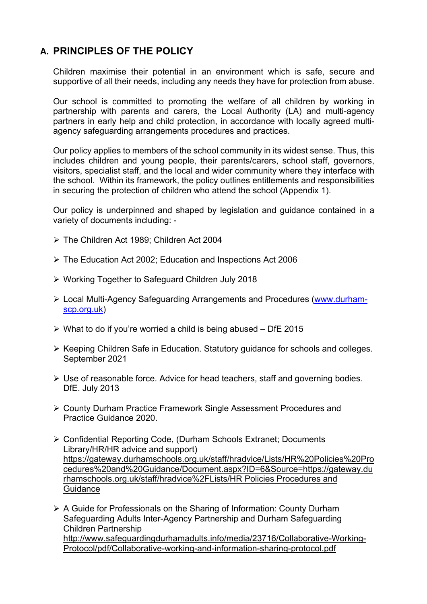## **A. PRINCIPLES OF THE POLICY**

Children maximise their potential in an environment which is safe, secure and supportive of all their needs, including any needs they have for protection from abuse.

Our school is committed to promoting the welfare of all children by working in partnership with parents and carers, the Local Authority (LA) and multi-agency partners in early help and child protection, in accordance with locally agreed multiagency safeguarding arrangements procedures and practices.

Our policy applies to members of the school community in its widest sense. Thus, this includes children and young people, their parents/carers, school staff, governors, visitors, specialist staff, and the local and wider community where they interface with the school. Within its framework, the policy outlines entitlements and responsibilities in securing the protection of children who attend the school (Appendix 1).

Our policy is underpinned and shaped by legislation and guidance contained in a variety of documents including: -

- Ø The Children Act 1989; Children Act 2004
- $\triangleright$  The Education Act 2002; Education and Inspections Act 2006
- Ø Working Together to Safeguard Children July 2018
- Ø Local Multi-Agency Safeguarding Arrangements and Procedures (www.durhamscp.org.uk)
- $\triangleright$  What to do if you're worried a child is being abused DfE 2015
- Ø Keeping Children Safe in Education. Statutory guidance for schools and colleges. September 2021
- $\triangleright$  Use of reasonable force. Advice for head teachers, staff and governing bodies. DfE. July 2013
- Ø County Durham Practice Framework Single Assessment Procedures and Practice Guidance 2020.
- Ø Confidential Reporting Code, (Durham Schools Extranet; Documents Library/HR/HR advice and support) https://gateway.durhamschools.org.uk/staff/hradvice/Lists/HR%20Policies%20Pro cedures%20and%20Guidance/Document.aspx?ID=6&Source=https://gateway.du rhamschools.org.uk/staff/hradvice%2FLists/HR Policies Procedures and **Guidance**
- $\triangleright$  A Guide for Professionals on the Sharing of Information: County Durham Safeguarding Adults Inter-Agency Partnership and Durham Safeguarding Children Partnership http://www.safeguardingdurhamadults.info/media/23716/Collaborative-Working-Protocol/pdf/Collaborative-working-and-information-sharing-protocol.pdf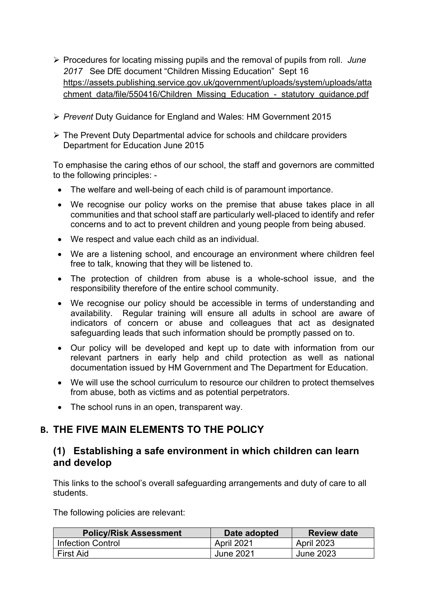- Ø Procedures for locating missing pupils and the removal of pupils from roll. *June 2017* See DfE document "Children Missing Education" Sept 16 https://assets.publishing.service.gov.uk/government/uploads/system/uploads/atta chment\_data/file/550416/Children\_Missing\_Education\_-\_statutory\_guidance.pdf
- Ø *Prevent* Duty Guidance for England and Wales: HM Government 2015
- $\triangleright$  The Prevent Duty Departmental advice for schools and childcare providers Department for Education June 2015

To emphasise the caring ethos of our school, the staff and governors are committed to the following principles: -

- The welfare and well-being of each child is of paramount importance.
- We recognise our policy works on the premise that abuse takes place in all communities and that school staff are particularly well-placed to identify and refer concerns and to act to prevent children and young people from being abused.
- We respect and value each child as an individual.
- We are a listening school, and encourage an environment where children feel free to talk, knowing that they will be listened to.
- The protection of children from abuse is a whole-school issue, and the responsibility therefore of the entire school community.
- We recognise our policy should be accessible in terms of understanding and availability. Regular training will ensure all adults in school are aware of indicators of concern or abuse and colleagues that act as designated safeguarding leads that such information should be promptly passed on to.
- Our policy will be developed and kept up to date with information from our relevant partners in early help and child protection as well as national documentation issued by HM Government and The Department for Education.
- We will use the school curriculum to resource our children to protect themselves from abuse, both as victims and as potential perpetrators.
- The school runs in an open, transparent way.

## **B. THE FIVE MAIN ELEMENTS TO THE POLICY**

### **(1) Establishing a safe environment in which children can learn and develop**

This links to the school's overall safeguarding arrangements and duty of care to all students.

The following policies are relevant:

| <b>Policy/Risk Assessment</b> | Date adopted | <b>Review date</b> |
|-------------------------------|--------------|--------------------|
| Infection Control             | April 2021   | <b>April 2023</b>  |
| <b>First Aid</b>              | June 2021    | June 2023          |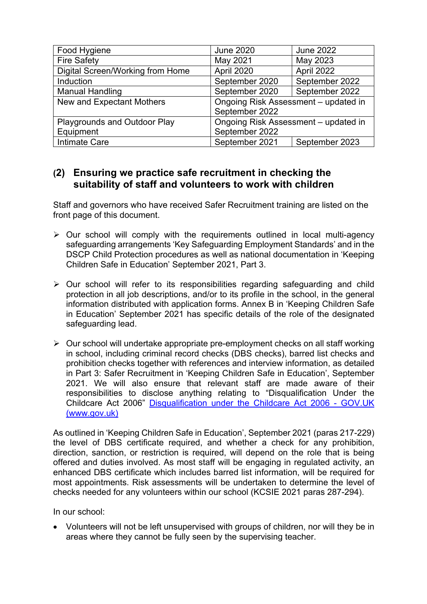| Food Hygiene                     | <b>June 2020</b>                     | <b>June 2022</b> |
|----------------------------------|--------------------------------------|------------------|
| <b>Fire Safety</b>               | May 2021                             | May 2023         |
| Digital Screen/Working from Home | April 2020                           | April 2022       |
| Induction                        | September 2020                       | September 2022   |
| <b>Manual Handling</b>           | September 2020                       | September 2022   |
| New and Expectant Mothers        | Ongoing Risk Assessment - updated in |                  |
|                                  | September 2022                       |                  |
| Playgrounds and Outdoor Play     | Ongoing Risk Assessment - updated in |                  |
| Equipment                        | September 2022                       |                  |
| <b>Intimate Care</b>             | September 2021                       | September 2023   |

## **(2) Ensuring we practice safe recruitment in checking the suitability of staff and volunteers to work with children**

Staff and governors who have received Safer Recruitment training are listed on the front page of this document.

- $\triangleright$  Our school will comply with the requirements outlined in local multi-agency safeguarding arrangements 'Key Safeguarding Employment Standards' and in the DSCP Child Protection procedures as well as national documentation in 'Keeping Children Safe in Education' September 2021, Part 3.
- $\triangleright$  Our school will refer to its responsibilities regarding safeguarding and child protection in all job descriptions, and/or to its profile in the school, in the general information distributed with application forms. Annex B in 'Keeping Children Safe in Education' September 2021 has specific details of the role of the designated safeguarding lead.
- $\triangleright$  Our school will undertake appropriate pre-employment checks on all staff working in school, including criminal record checks (DBS checks), barred list checks and prohibition checks together with references and interview information, as detailed in Part 3: Safer Recruitment in 'Keeping Children Safe in Education', September 2021. We will also ensure that relevant staff are made aware of their responsibilities to disclose anything relating to "Disqualification Under the Childcare Act 2006" Disqualification under the Childcare Act 2006 - GOV.UK (www.gov.uk)

As outlined in 'Keeping Children Safe in Education', September 2021 (paras 217-229) the level of DBS certificate required, and whether a check for any prohibition, direction, sanction, or restriction is required, will depend on the role that is being offered and duties involved. As most staff will be engaging in regulated activity, an enhanced DBS certificate which includes barred list information, will be required for most appointments. Risk assessments will be undertaken to determine the level of checks needed for any volunteers within our school (KCSIE 2021 paras 287-294).

In our school:

• Volunteers will not be left unsupervised with groups of children, nor will they be in areas where they cannot be fully seen by the supervising teacher.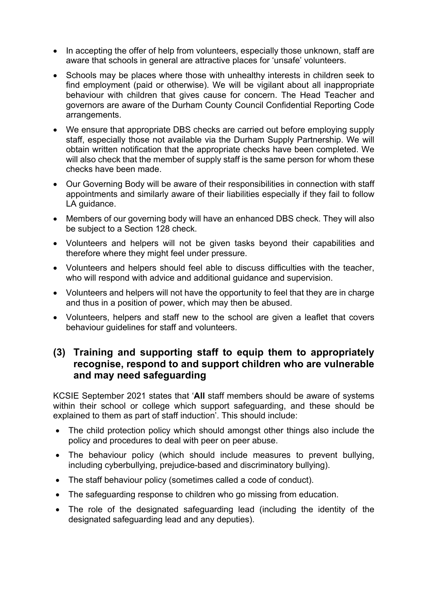- In accepting the offer of help from volunteers, especially those unknown, staff are aware that schools in general are attractive places for 'unsafe' volunteers.
- Schools may be places where those with unhealthy interests in children seek to find employment (paid or otherwise). We will be vigilant about all inappropriate behaviour with children that gives cause for concern. The Head Teacher and governors are aware of the Durham County Council Confidential Reporting Code arrangements.
- We ensure that appropriate DBS checks are carried out before employing supply staff, especially those not available via the Durham Supply Partnership. We will obtain written notification that the appropriate checks have been completed. We will also check that the member of supply staff is the same person for whom these checks have been made.
- Our Governing Body will be aware of their responsibilities in connection with staff appointments and similarly aware of their liabilities especially if they fail to follow LA guidance.
- Members of our governing body will have an enhanced DBS check. They will also be subject to a Section 128 check.
- Volunteers and helpers will not be given tasks beyond their capabilities and therefore where they might feel under pressure.
- Volunteers and helpers should feel able to discuss difficulties with the teacher, who will respond with advice and additional guidance and supervision.
- Volunteers and helpers will not have the opportunity to feel that they are in charge and thus in a position of power, which may then be abused.
- Volunteers, helpers and staff new to the school are given a leaflet that covers behaviour guidelines for staff and volunteers.

## **(3) Training and supporting staff to equip them to appropriately recognise, respond to and support children who are vulnerable and may need safeguarding**

KCSIE September 2021 states that '**All** staff members should be aware of systems within their school or college which support safeguarding, and these should be explained to them as part of staff induction'. This should include:

- The child protection policy which should amongst other things also include the policy and procedures to deal with peer on peer abuse.
- The behaviour policy (which should include measures to prevent bullying, including cyberbullying, prejudice-based and discriminatory bullying).
- The staff behaviour policy (sometimes called a code of conduct).
- The safeguarding response to children who go missing from education.
- The role of the designated safeguarding lead (including the identity of the designated safeguarding lead and any deputies).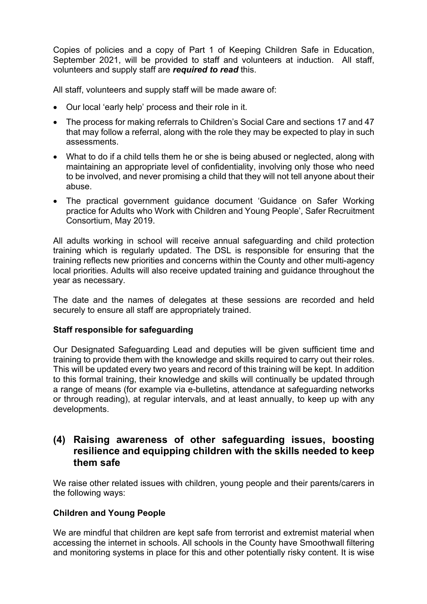Copies of policies and a copy of Part 1 of Keeping Children Safe in Education, September 2021, will be provided to staff and volunteers at induction. All staff, volunteers and supply staff are *required to read* this.

All staff, volunteers and supply staff will be made aware of:

- Our local 'early help' process and their role in it.
- The process for making referrals to Children's Social Care and sections 17 and 47 that may follow a referral, along with the role they may be expected to play in such assessments.
- What to do if a child tells them he or she is being abused or neglected, along with maintaining an appropriate level of confidentiality, involving only those who need to be involved, and never promising a child that they will not tell anyone about their abuse.
- The practical government guidance document 'Guidance on Safer Working practice for Adults who Work with Children and Young People', Safer Recruitment Consortium, May 2019.

All adults working in school will receive annual safeguarding and child protection training which is regularly updated. The DSL is responsible for ensuring that the training reflects new priorities and concerns within the County and other multi-agency local priorities. Adults will also receive updated training and guidance throughout the year as necessary.

The date and the names of delegates at these sessions are recorded and held securely to ensure all staff are appropriately trained.

#### **Staff responsible for safeguarding**

Our Designated Safeguarding Lead and deputies will be given sufficient time and training to provide them with the knowledge and skills required to carry out their roles. This will be updated every two years and record of this training will be kept. In addition to this formal training, their knowledge and skills will continually be updated through a range of means (for example via e-bulletins, attendance at safeguarding networks or through reading), at regular intervals, and at least annually, to keep up with any developments.

### **(4) Raising awareness of other safeguarding issues, boosting resilience and equipping children with the skills needed to keep them safe**

We raise other related issues with children, young people and their parents/carers in the following ways:

#### **Children and Young People**

We are mindful that children are kept safe from terrorist and extremist material when accessing the internet in schools. All schools in the County have Smoothwall filtering and monitoring systems in place for this and other potentially risky content. It is wise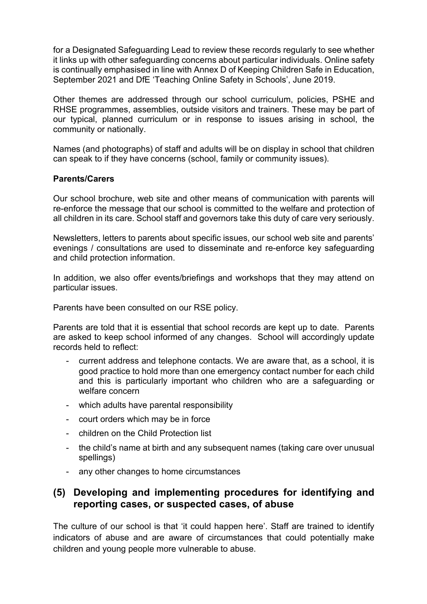for a Designated Safeguarding Lead to review these records regularly to see whether it links up with other safeguarding concerns about particular individuals. Online safety is continually emphasised in line with Annex D of Keeping Children Safe in Education, September 2021 and DfE 'Teaching Online Safety in Schools', June 2019.

Other themes are addressed through our school curriculum, policies, PSHE and RHSE programmes, assemblies, outside visitors and trainers. These may be part of our typical, planned curriculum or in response to issues arising in school, the community or nationally.

Names (and photographs) of staff and adults will be on display in school that children can speak to if they have concerns (school, family or community issues).

#### **Parents/Carers**

Our school brochure, web site and other means of communication with parents will re-enforce the message that our school is committed to the welfare and protection of all children in its care. School staff and governors take this duty of care very seriously.

Newsletters, letters to parents about specific issues, our school web site and parents' evenings / consultations are used to disseminate and re-enforce key safeguarding and child protection information.

In addition, we also offer events/briefings and workshops that they may attend on particular issues.

Parents have been consulted on our RSE policy.

Parents are told that it is essential that school records are kept up to date. Parents are asked to keep school informed of any changes. School will accordingly update records held to reflect:

- current address and telephone contacts. We are aware that, as a school, it is good practice to hold more than one emergency contact number for each child and this is particularly important who children who are a safeguarding or welfare concern
- which adults have parental responsibility
- court orders which may be in force
- children on the Child Protection list
- the child's name at birth and any subsequent names (taking care over unusual spellings)
- any other changes to home circumstances

## **(5) Developing and implementing procedures for identifying and reporting cases, or suspected cases, of abuse**

The culture of our school is that 'it could happen here'. Staff are trained to identify indicators of abuse and are aware of circumstances that could potentially make children and young people more vulnerable to abuse.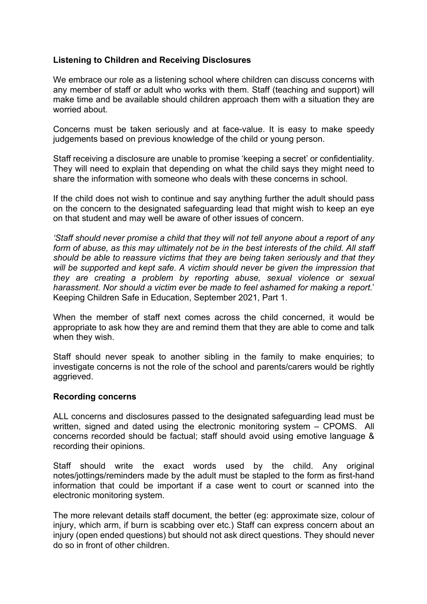#### **Listening to Children and Receiving Disclosures**

We embrace our role as a listening school where children can discuss concerns with any member of staff or adult who works with them. Staff (teaching and support) will make time and be available should children approach them with a situation they are worried about.

Concerns must be taken seriously and at face-value. It is easy to make speedy judgements based on previous knowledge of the child or young person.

Staff receiving a disclosure are unable to promise 'keeping a secret' or confidentiality. They will need to explain that depending on what the child says they might need to share the information with someone who deals with these concerns in school.

If the child does not wish to continue and say anything further the adult should pass on the concern to the designated safeguarding lead that might wish to keep an eye on that student and may well be aware of other issues of concern.

*'Staff should never promise a child that they will not tell anyone about a report of any form of abuse, as this may ultimately not be in the best interests of the child. All staff should be able to reassure victims that they are being taken seriously and that they will be supported and kept safe. A victim should never be given the impression that they are creating a problem by reporting abuse, sexual violence or sexual harassment. Nor should a victim ever be made to feel ashamed for making a report.*' Keeping Children Safe in Education, September 2021, Part 1.

When the member of staff next comes across the child concerned, it would be appropriate to ask how they are and remind them that they are able to come and talk when they wish.

Staff should never speak to another sibling in the family to make enquiries; to investigate concerns is not the role of the school and parents/carers would be rightly aggrieved.

#### **Recording concerns**

ALL concerns and disclosures passed to the designated safeguarding lead must be written, signed and dated using the electronic monitoring system – CPOMS.All concerns recorded should be factual; staff should avoid using emotive language & recording their opinions.

Staff should write the exact words used by the child. Any original notes/jottings/reminders made by the adult must be stapled to the form as first-hand information that could be important if a case went to court or scanned into the electronic monitoring system.

The more relevant details staff document, the better (eg: approximate size, colour of injury, which arm, if burn is scabbing over etc.) Staff can express concern about an injury (open ended questions) but should not ask direct questions. They should never do so in front of other children.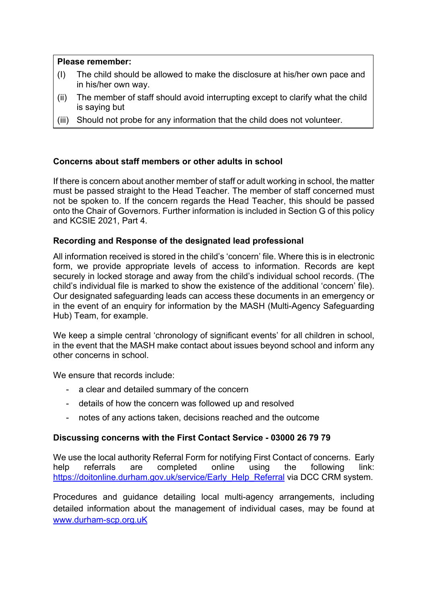#### **Please remember:**

- (I) The child should be allowed to make the disclosure at his/her own pace and in his/her own way.
- (ii) The member of staff should avoid interrupting except to clarify what the child is saying but
- (iii) Should not probe for any information that the child does not volunteer.

#### **Concerns about staff members or other adults in school**

If there is concern about another member of staff or adult working in school, the matter must be passed straight to the Head Teacher. The member of staff concerned must not be spoken to. If the concern regards the Head Teacher, this should be passed onto the Chair of Governors. Further information is included in Section G of this policy and KCSIE 2021, Part 4.

#### **Recording and Response of the designated lead professional**

All information received is stored in the child's 'concern' file. Where this is in electronic form, we provide appropriate levels of access to information. Records are kept securely in locked storage and away from the child's individual school records. (The child's individual file is marked to show the existence of the additional 'concern' file). Our designated safeguarding leads can access these documents in an emergency or in the event of an enquiry for information by the MASH (Multi-Agency Safeguarding Hub) Team, for example.

We keep a simple central 'chronology of significant events' for all children in school, in the event that the MASH make contact about issues beyond school and inform any other concerns in school.

We ensure that records include:

- a clear and detailed summary of the concern
- details of how the concern was followed up and resolved
- notes of any actions taken, decisions reached and the outcome

#### **Discussing concerns with the First Contact Service - 03000 26 79 79**

We use the local authority Referral Form for notifying First Contact of concerns. Early help referrals are completed online using the following link: https://doitonline.durham.gov.uk/service/Early\_Help\_Referral via DCC CRM system.

Procedures and guidance detailing local multi-agency arrangements, including detailed information about the management of individual cases, may be found at www.durham-scp.org.uK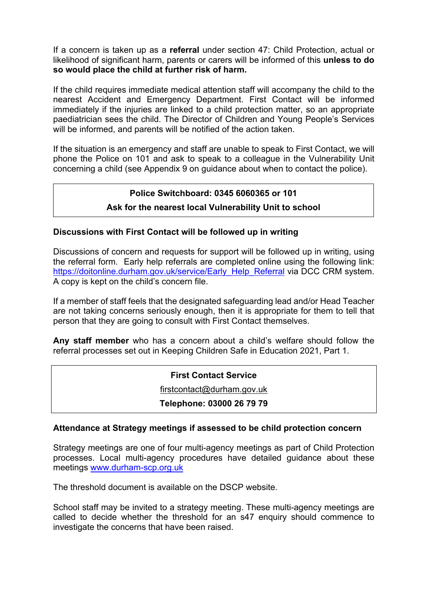If a concern is taken up as a **referral** under section 47: Child Protection, actual or likelihood of significant harm, parents or carers will be informed of this **unless to do so would place the child at further risk of harm.**

If the child requires immediate medical attention staff will accompany the child to the nearest Accident and Emergency Department. First Contact will be informed immediately if the injuries are linked to a child protection matter, so an appropriate paediatrician sees the child. The Director of Children and Young People's Services will be informed, and parents will be notified of the action taken.

If the situation is an emergency and staff are unable to speak to First Contact, we will phone the Police on 101 and ask to speak to a colleague in the Vulnerability Unit concerning a child (see Appendix 9 on guidance about when to contact the police).

### **Police Switchboard: 0345 6060365 or 101**

#### **Ask for the nearest local Vulnerability Unit to school**

#### **Discussions with First Contact will be followed up in writing**

Discussions of concern and requests for support will be followed up in writing, using the referral form. Early help referrals are completed online using the following link: https://doitonline.durham.gov.uk/service/Early\_Help\_Referral via DCC CRM system. A copy is kept on the child's concern file.

If a member of staff feels that the designated safeguarding lead and/or Head Teacher are not taking concerns seriously enough, then it is appropriate for them to tell that person that they are going to consult with First Contact themselves.

**Any staff member** who has a concern about a child's welfare should follow the referral processes set out in Keeping Children Safe in Education 2021, Part 1.

#### **First Contact Service**

firstcontact@durham.gov.uk

**Telephone: 03000 26 79 79**

#### **Attendance at Strategy meetings if assessed to be child protection concern**

Strategy meetings are one of four multi-agency meetings as part of Child Protection processes. Local multi-agency procedures have detailed guidance about these meetings www.durham-scp.org.uk

The threshold document is available on the DSCP website.

School staff may be invited to a strategy meeting. These multi-agency meetings are called to decide whether the threshold for an s47 enquiry should commence to investigate the concerns that have been raised.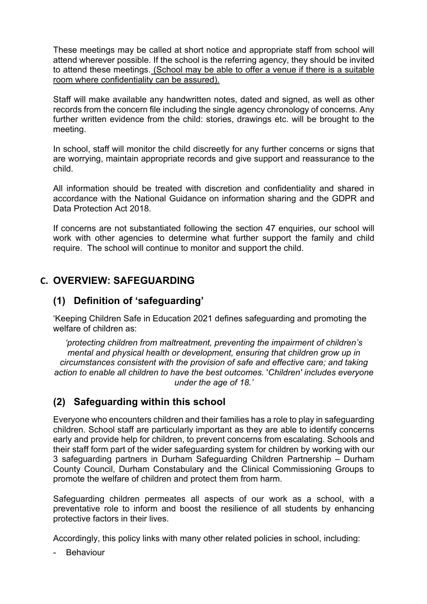These meetings may be called at short notice and appropriate staff from school will attend wherever possible. If the school is the referring agency, they should be invited to attend these meetings. (School may be able to offer a venue if there is a suitable room where confidentiality can be assured).

Staff will make available any handwritten notes, dated and signed, as well as other records from the concern file including the single agency chronology of concerns. Any further written evidence from the child: stories, drawings etc. will be brought to the meeting.

In school, staff will monitor the child discreetly for any further concerns or signs that are worrying, maintain appropriate records and give support and reassurance to the child.

All information should be treated with discretion and confidentiality and shared in accordance with the National Guidance on information sharing and the GDPR and Data Protection Act 2018.

If concerns are not substantiated following the section 47 enquiries, our school will work with other agencies to determine what further support the family and child require. The school will continue to monitor and support the child.

## **C. OVERVIEW: SAFEGUARDING**

## **(1) Definition of 'safeguarding'**

'Keeping Children Safe in Education 2021 defines safeguarding and promoting the welfare of children as:

*'protecting children from maltreatment, preventing the impairment of children's mental and physical health or development, ensuring that children grow up in circumstances consistent with the provision of safe and effective care; and taking action to enable all children to have the best outcomes.* '*Children' includes everyone under the age of 18.'*

## **(2) Safeguarding within this school**

Everyone who encounters children and their families has a role to play in safeguarding children. School staff are particularly important as they are able to identify concerns early and provide help for children, to prevent concerns from escalating. Schools and their staff form part of the wider safeguarding system for children by working with our 3 safeguarding partners in Durham Safeguarding Children Partnership – Durham County Council, Durham Constabulary and the Clinical Commissioning Groups to promote the welfare of children and protect them from harm.

Safeguarding children permeates all aspects of our work as a school, with a preventative role to inform and boost the resilience of all students by enhancing protective factors in their lives.

Accordingly, this policy links with many other related policies in school, including:

**Behaviour**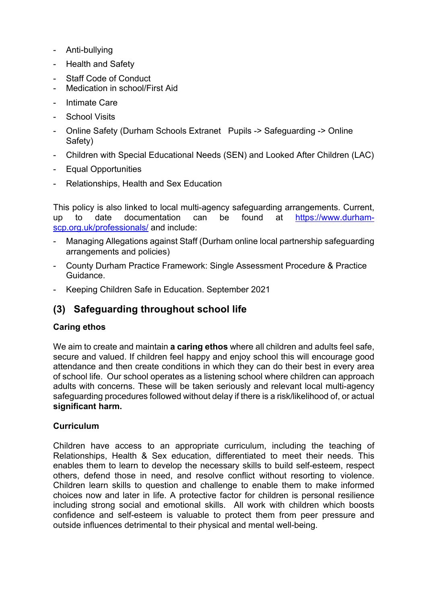- Anti-bullying
- Health and Safety
- Staff Code of Conduct
- Medication in school/First Aid
- Intimate Care
- School Visits
- Online Safety (Durham Schools Extranet Pupils -> Safeguarding -> Online Safety)
- Children with Special Educational Needs (SEN) and Looked After Children (LAC)
- Equal Opportunities
- Relationships, Health and Sex Education

This policy is also linked to local multi-agency safeguarding arrangements. Current, up to date documentation can be found at https://www.durhamscp.org.uk/professionals/ and include:

- Managing Allegations against Staff (Durham online local partnership safeguarding arrangements and policies)
- County Durham Practice Framework: Single Assessment Procedure & Practice Guidance.
- Keeping Children Safe in Education. September 2021

### **(3) Safeguarding throughout school life**

#### **Caring ethos**

We aim to create and maintain **a caring ethos** where all children and adults feel safe, secure and valued. If children feel happy and enjoy school this will encourage good attendance and then create conditions in which they can do their best in every area of school life. Our school operates as a listening school where children can approach adults with concerns. These will be taken seriously and relevant local multi-agency safeguarding procedures followed without delay if there is a risk/likelihood of, or actual **significant harm.**

#### **Curriculum**

Children have access to an appropriate curriculum, including the teaching of Relationships, Health & Sex education, differentiated to meet their needs. This enables them to learn to develop the necessary skills to build self-esteem, respect others, defend those in need, and resolve conflict without resorting to violence. Children learn skills to question and challenge to enable them to make informed choices now and later in life. A protective factor for children is personal resilience including strong social and emotional skills. All work with children which boosts confidence and self-esteem is valuable to protect them from peer pressure and outside influences detrimental to their physical and mental well-being.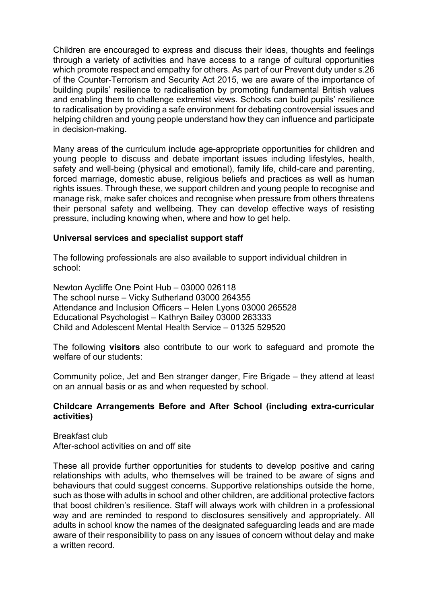Children are encouraged to express and discuss their ideas, thoughts and feelings through a variety of activities and have access to a range of cultural opportunities which promote respect and empathy for others. As part of our Prevent duty under s.26 of the Counter-Terrorism and Security Act 2015, we are aware of the importance of building pupils' resilience to radicalisation by promoting fundamental British values and enabling them to challenge extremist views. Schools can build pupils' resilience to radicalisation by providing a safe environment for debating controversial issues and helping children and young people understand how they can influence and participate in decision-making.

Many areas of the curriculum include age-appropriate opportunities for children and young people to discuss and debate important issues including lifestyles, health, safety and well-being (physical and emotional), family life, child-care and parenting, forced marriage, domestic abuse, religious beliefs and practices as well as human rights issues. Through these, we support children and young people to recognise and manage risk, make safer choices and recognise when pressure from others threatens their personal safety and wellbeing. They can develop effective ways of resisting pressure, including knowing when, where and how to get help.

#### **Universal services and specialist support staff**

The following professionals are also available to support individual children in school:

Newton Aycliffe One Point Hub – 03000 026118 The school nurse – Vicky Sutherland 03000 264355 Attendance and Inclusion Officers – Helen Lyons 03000 265528 Educational Psychologist – Kathryn Bailey 03000 263333 Child and Adolescent Mental Health Service – 01325 529520

The following **visitors** also contribute to our work to safeguard and promote the welfare of our students:

Community police, Jet and Ben stranger danger, Fire Brigade – they attend at least on an annual basis or as and when requested by school.

#### **Childcare Arrangements Before and After School (including extra-curricular activities)**

Breakfast club After-school activities on and off site

These all provide further opportunities for students to develop positive and caring relationships with adults, who themselves will be trained to be aware of signs and behaviours that could suggest concerns. Supportive relationships outside the home, such as those with adults in school and other children, are additional protective factors that boost children's resilience. Staff will always work with children in a professional way and are reminded to respond to disclosures sensitively and appropriately. All adults in school know the names of the designated safeguarding leads and are made aware of their responsibility to pass on any issues of concern without delay and make a written record.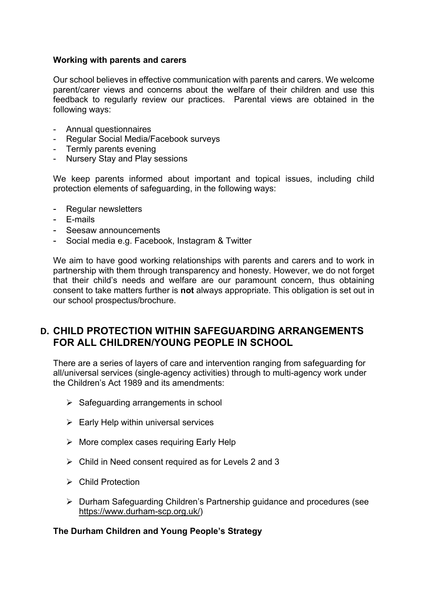#### **Working with parents and carers**

Our school believes in effective communication with parents and carers. We welcome parent/carer views and concerns about the welfare of their children and use this feedback to regularly review our practices. Parental views are obtained in the following ways:

- Annual questionnaires
- Regular Social Media/Facebook surveys
- Termly parents evening
- Nursery Stay and Play sessions

We keep parents informed about important and topical issues, including child protection elements of safeguarding, in the following ways:

- Regular newsletters
- E-mails
- Seesaw announcements
- Social media e.g. Facebook, Instagram & Twitter

We aim to have good working relationships with parents and carers and to work in partnership with them through transparency and honesty. However, we do not forget that their child's needs and welfare are our paramount concern, thus obtaining consent to take matters further is **not** always appropriate. This obligation is set out in our school prospectus/brochure.

## **D. CHILD PROTECTION WITHIN SAFEGUARDING ARRANGEMENTS FOR ALL CHILDREN/YOUNG PEOPLE IN SCHOOL**

There are a series of layers of care and intervention ranging from safeguarding for all/universal services (single-agency activities) through to multi-agency work under the Children's Act 1989 and its amendments:

- $\triangleright$  Safeguarding arrangements in school
- $\triangleright$  Early Help within universal services
- $\triangleright$  More complex cases requiring Early Help
- $\triangleright$  Child in Need consent required as for Levels 2 and 3
- $\triangleright$  Child Protection
- Ø Durham Safeguarding Children's Partnership guidance and procedures (see https://www.durham-scp.org.uk/)

#### **The Durham Children and Young People's Strategy**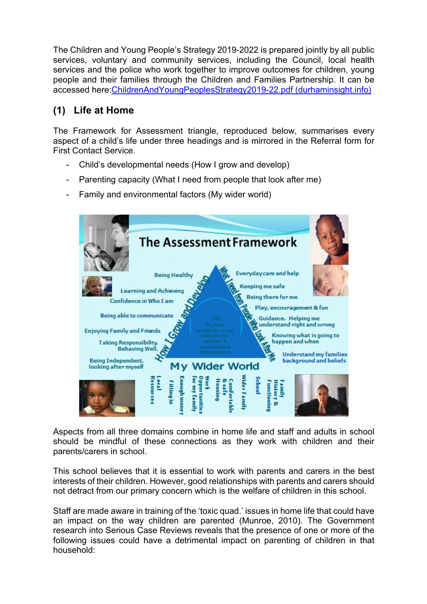The Children and Young People's Strategy 2019-2022 is prepared jointly by all public services, voluntary and community services, including the Council, local health services and the police who work together to improve outcomes for children, young people and their families through the Children and Families Partnership. It can be accessed here:ChildrenAndYoungPeoplesStrategy2019-22.pdf (durhaminsight.info)

## **(1) Life at Home**

The Framework for Assessment triangle, reproduced below, summarises every aspect of a child's life under three headings and is mirrored in the Referral form for First Contact Service.

- Child's developmental needs (How I grow and develop)
- Parenting capacity (What I need from people that look after me)
- Family and environmental factors (My wider world)



Aspects from all three domains combine in home life and staff and adults in school should be mindful of these connections as they work with children and their parents/carers in school.

This school believes that it is essential to work with parents and carers in the best interests of their children. However, good relationships with parents and carers should not detract from our primary concern which is the welfare of children in this school.

Staff are made aware in training of the 'toxic quad.' issues in home life that could have an impact on the way children are parented (Munroe, 2010). The Government research into Serious Case Reviews reveals that the presence of one or more of the following issues could have a detrimental impact on parenting of children in that household: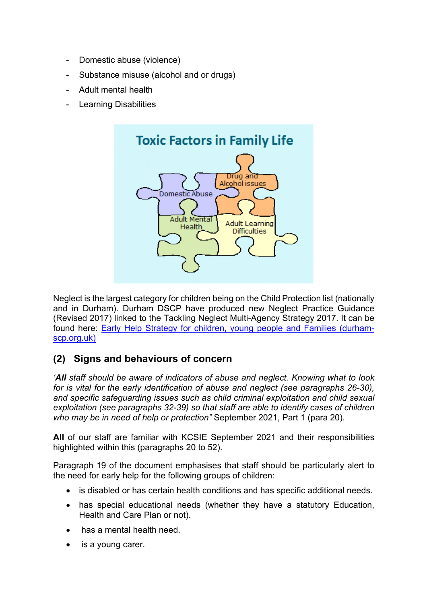- Domestic abuse (violence)
- Substance misuse (alcohol and or drugs)
- Adult mental health
- Learning Disabilities



Neglect is the largest category for children being on the Child Protection list (nationally and in Durham). Durham DSCP have produced new Neglect Practice Guidance (Revised 2017) linked to the Tackling Neglect Multi-Agency Strategy 2017. It can be found here: Early Help Strategy for children, young people and Families (durhamscp.org.uk)

## **(2) Signs and behaviours of concern**

*'All staff should be aware of indicators of abuse and neglect. Knowing what to look for is vital for the early identification of abuse and neglect (see paragraphs 26-30), and specific safeguarding issues such as child criminal exploitation and child sexual exploitation (see paragraphs 32-39) so that staff are able to identify cases of children who may be in need of help or protection"* September 2021, Part 1 (para 20).

**All** of our staff are familiar with KCSIE September 2021 and their responsibilities highlighted within this (paragraphs 20 to 52).

Paragraph 19 of the document emphasises that staff should be particularly alert to the need for early help for the following groups of children:

- is disabled or has certain health conditions and has specific additional needs.
- has special educational needs (whether they have a statutory Education, Health and Care Plan or not).
- has a mental health need.
- is a young carer.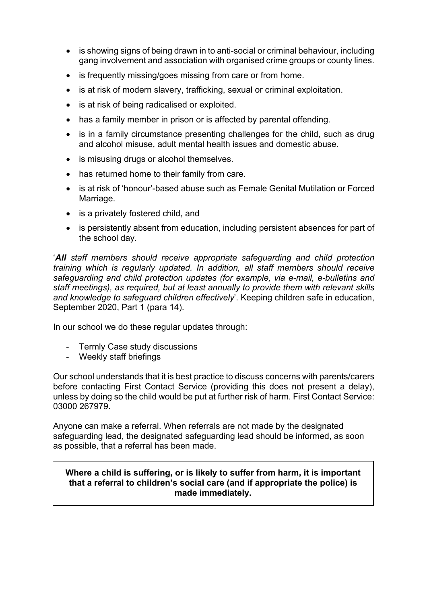- is showing signs of being drawn in to anti-social or criminal behaviour, including gang involvement and association with organised crime groups or county lines.
- is frequently missing/goes missing from care or from home.
- is at risk of modern slavery, trafficking, sexual or criminal exploitation.
- is at risk of being radicalised or exploited.
- has a family member in prison or is affected by parental offending.
- is in a family circumstance presenting challenges for the child, such as drug and alcohol misuse, adult mental health issues and domestic abuse.
- is misusing drugs or alcohol themselves.
- has returned home to their family from care.
- is at risk of 'honour'-based abuse such as Female Genital Mutilation or Forced Marriage.
- is a privately fostered child, and
- is persistently absent from education, including persistent absences for part of the school day.

'*All staff members should receive appropriate safeguarding and child protection training which is regularly updated. In addition, all staff members should receive safeguarding and child protection updates (for example, via e-mail, e-bulletins and staff meetings), as required, but at least annually to provide them with relevant skills and knowledge to safeguard children effectively*'. Keeping children safe in education, September 2020, Part 1 (para 14).

In our school we do these regular updates through:

- Termly Case study discussions
- Weekly staff briefings

Our school understands that it is best practice to discuss concerns with parents/carers before contacting First Contact Service (providing this does not present a delay), unless by doing so the child would be put at further risk of harm. First Contact Service: 03000 267979.

Anyone can make a referral. When referrals are not made by the designated safeguarding lead, the designated safeguarding lead should be informed, as soon as possible, that a referral has been made.

#### **Where a child is suffering, or is likely to suffer from harm, it is important that a referral to children's social care (and if appropriate the police) is made immediately.**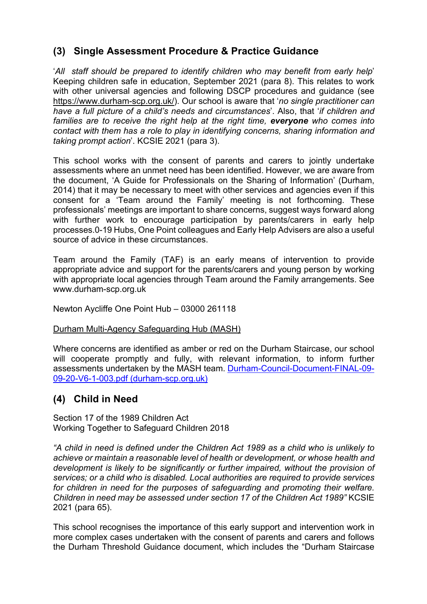## **(3) Single Assessment Procedure & Practice Guidance**

'*All staff should be prepared to identify children who may benefit from early help*' Keeping children safe in education, September 2021 (para 8). This relates to work with other universal agencies and following DSCP procedures and guidance (see https://www.durham-scp.org.uk/). Our school is aware that '*no single practitioner can have a full picture of a child's needs and circumstances*'. Also, that '*if children and families are to receive the right help at the right time, everyone who comes into contact with them has a role to play in identifying concerns, sharing information and taking prompt action*'. KCSIE 2021 (para 3).

This school works with the consent of parents and carers to jointly undertake assessments where an unmet need has been identified. However, we are aware from the document, 'A Guide for Professionals on the Sharing of Information' (Durham, 2014) that it may be necessary to meet with other services and agencies even if this consent for a 'Team around the Family' meeting is not forthcoming. These professionals' meetings are important to share concerns, suggest ways forward along with further work to encourage participation by parents/carers in early help processes.0-19 Hubs, One Point colleagues and Early Help Advisers are also a useful source of advice in these circumstances.

Team around the Family (TAF) is an early means of intervention to provide appropriate advice and support for the parents/carers and young person by working with appropriate local agencies through Team around the Family arrangements. See www.durham-scp.org.uk

Newton Aycliffe One Point Hub – 03000 261118

#### Durham Multi-Agency Safeguarding Hub (MASH)

Where concerns are identified as amber or red on the Durham Staircase, our school will cooperate promptly and fully, with relevant information, to inform further assessments undertaken by the MASH team. Durham-Council-Document-FINAL-09- 09-20-V6-1-003.pdf (durham-scp.org.uk)

### **(4) Child in Need**

Section 17 of the 1989 Children Act Working Together to Safeguard Children 2018

*"A child in need is defined under the Children Act 1989 as a child who is unlikely to achieve or maintain a reasonable level of health or development, or whose health and development is likely to be significantly or further impaired, without the provision of services; or a child who is disabled. Local authorities are required to provide services for children in need for the purposes of safeguarding and promoting their welfare. Children in need may be assessed under section 17 of the Children Act 1989"* KCSIE 2021 (para 65).

This school recognises the importance of this early support and intervention work in more complex cases undertaken with the consent of parents and carers and follows the Durham Threshold Guidance document, which includes the "Durham Staircase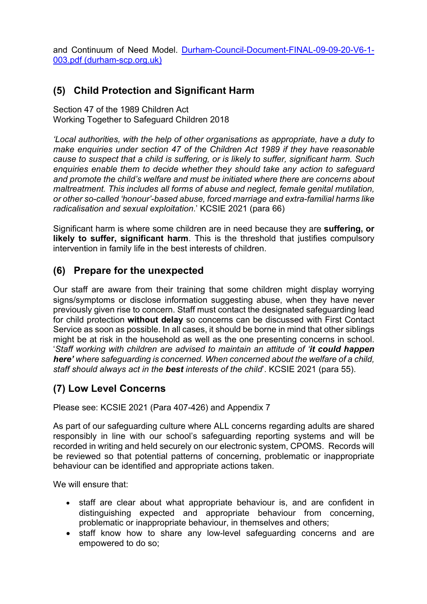and Continuum of Need Model. Durham-Council-Document-FINAL-09-09-20-V6-1- 003.pdf (durham-scp.org.uk)

## **(5) Child Protection and Significant Harm**

Section 47 of the 1989 Children Act Working Together to Safeguard Children 2018

*'Local authorities, with the help of other organisations as appropriate, have a duty to make enquiries under section 47 of the Children Act 1989 if they have reasonable cause to suspect that a child is suffering, or is likely to suffer, significant harm. Such enquiries enable them to decide whether they should take any action to safeguard and promote the child's welfare and must be initiated where there are concerns about maltreatment. This includes all forms of abuse and neglect, female genital mutilation, or other so-called 'honour'-based abuse, forced marriage and extra-familial harms like radicalisation and sexual exploitation*.' KCSIE 2021 (para 66)

Significant harm is where some children are in need because they are **suffering, or likely to suffer, significant harm**. This is the threshold that justifies compulsory intervention in family life in the best interests of children.

## **(6) Prepare for the unexpected**

Our staff are aware from their training that some children might display worrying signs/symptoms or disclose information suggesting abuse, when they have never previously given rise to concern. Staff must contact the designated safeguarding lead for child protection **without delay** so concerns can be discussed with First Contact Service as soon as possible. In all cases, it should be borne in mind that other siblings might be at risk in the household as well as the one presenting concerns in school. '*Staff working with children are advised to maintain an attitude of 'it could happen here' where safeguarding is concerned. When concerned about the welfare of a child, staff should always act in the best interests of the child*'. KCSIE 2021 (para 55).

## **(7) Low Level Concerns**

Please see: KCSIE 2021 (Para 407-426) and Appendix 7

As part of our safeguarding culture where ALL concerns regarding adults are shared responsibly in line with our school's safeguarding reporting systems and will be recorded in writing and held securely on our electronic system, CPOMS. Records will be reviewed so that potential patterns of concerning, problematic or inappropriate behaviour can be identified and appropriate actions taken.

We will ensure that:

- staff are clear about what appropriate behaviour is, and are confident in distinguishing expected and appropriate behaviour from concerning, problematic or inappropriate behaviour, in themselves and others;
- staff know how to share any low-level safeguarding concerns and are empowered to do so;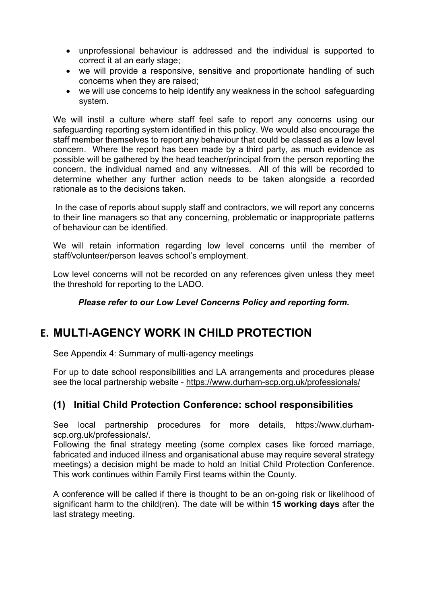- unprofessional behaviour is addressed and the individual is supported to correct it at an early stage;
- we will provide a responsive, sensitive and proportionate handling of such concerns when they are raised;
- we will use concerns to help identify any weakness in the school safeguarding system.

We will instil a culture where staff feel safe to report any concerns using our safeguarding reporting system identified in this policy. We would also encourage the staff member themselves to report any behaviour that could be classed as a low level concern. Where the report has been made by a third party, as much evidence as possible will be gathered by the head teacher/principal from the person reporting the concern, the individual named and any witnesses. All of this will be recorded to determine whether any further action needs to be taken alongside a recorded rationale as to the decisions taken.

In the case of reports about supply staff and contractors, we will report any concerns to their line managers so that any concerning, problematic or inappropriate patterns of behaviour can be identified.

We will retain information regarding low level concerns until the member of staff/volunteer/person leaves school's employment.

Low level concerns will not be recorded on any references given unless they meet the threshold for reporting to the LADO.

#### *Please refer to our Low Level Concerns Policy and reporting form.*

## **E. MULTI-AGENCY WORK IN CHILD PROTECTION**

See Appendix 4: Summary of multi-agency meetings

For up to date school responsibilities and LA arrangements and procedures please see the local partnership website - https://www.durham-scp.org.uk/professionals/

### **(1) Initial Child Protection Conference: school responsibilities**

See local partnership procedures for more details, https://www.durhamscp.org.uk/professionals/.

Following the final strategy meeting (some complex cases like forced marriage, fabricated and induced illness and organisational abuse may require several strategy meetings) a decision might be made to hold an Initial Child Protection Conference. This work continues within Family First teams within the County.

A conference will be called if there is thought to be an on-going risk or likelihood of significant harm to the child(ren). The date will be within **15 working days** after the last strategy meeting.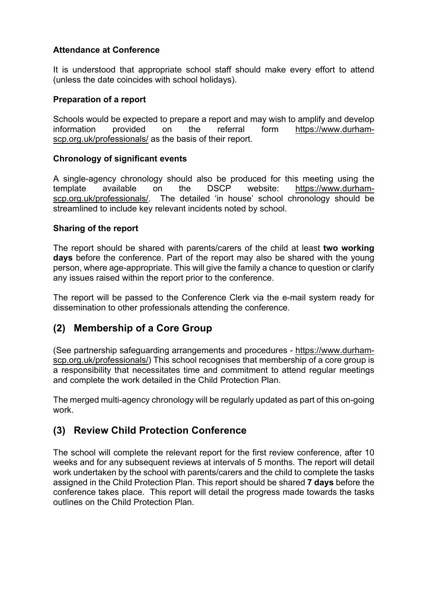#### **Attendance at Conference**

It is understood that appropriate school staff should make every effort to attend (unless the date coincides with school holidays).

#### **Preparation of a report**

Schools would be expected to prepare a report and may wish to amplify and develop information provided on the referral form https://www.durhamscp.org.uk/professionals/ as the basis of their report.

#### **Chronology of significant events**

A single-agency chronology should also be produced for this meeting using the template available on the DSCP website: https://www.durhamscp.org.uk/professionals/. The detailed 'in house' school chronology should be streamlined to include key relevant incidents noted by school.

#### **Sharing of the report**

The report should be shared with parents/carers of the child at least **two working days** before the conference. Part of the report may also be shared with the young person, where age-appropriate. This will give the family a chance to question or clarify any issues raised within the report prior to the conference.

The report will be passed to the Conference Clerk via the e-mail system ready for dissemination to other professionals attending the conference.

### **(2) Membership of a Core Group**

(See partnership safeguarding arrangements and procedures - https://www.durhamscp.org.uk/professionals/) This school recognises that membership of a core group is a responsibility that necessitates time and commitment to attend regular meetings and complete the work detailed in the Child Protection Plan.

The merged multi-agency chronology will be regularly updated as part of this on-going work.

## **(3) Review Child Protection Conference**

The school will complete the relevant report for the first review conference, after 10 weeks and for any subsequent reviews at intervals of 5 months. The report will detail work undertaken by the school with parents/carers and the child to complete the tasks assigned in the Child Protection Plan. This report should be shared **7 days** before the conference takes place. This report will detail the progress made towards the tasks outlines on the Child Protection Plan.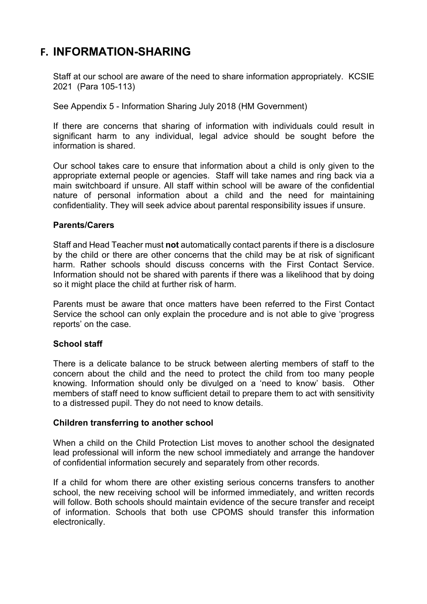## **F. INFORMATION-SHARING**

Staff at our school are aware of the need to share information appropriately. KCSIE 2021 (Para 105-113)

See Appendix 5 - Information Sharing July 2018 (HM Government)

If there are concerns that sharing of information with individuals could result in significant harm to any individual, legal advice should be sought before the information is shared.

Our school takes care to ensure that information about a child is only given to the appropriate external people or agencies. Staff will take names and ring back via a main switchboard if unsure. All staff within school will be aware of the confidential nature of personal information about a child and the need for maintaining confidentiality. They will seek advice about parental responsibility issues if unsure.

#### **Parents/Carers**

Staff and Head Teacher must **not** automatically contact parents if there is a disclosure by the child or there are other concerns that the child may be at risk of significant harm. Rather schools should discuss concerns with the First Contact Service. Information should not be shared with parents if there was a likelihood that by doing so it might place the child at further risk of harm.

Parents must be aware that once matters have been referred to the First Contact Service the school can only explain the procedure and is not able to give 'progress reports' on the case.

#### **School staff**

There is a delicate balance to be struck between alerting members of staff to the concern about the child and the need to protect the child from too many people knowing. Information should only be divulged on a 'need to know' basis. Other members of staff need to know sufficient detail to prepare them to act with sensitivity to a distressed pupil. They do not need to know details.

#### **Children transferring to another school**

When a child on the Child Protection List moves to another school the designated lead professional will inform the new school immediately and arrange the handover of confidential information securely and separately from other records.

If a child for whom there are other existing serious concerns transfers to another school, the new receiving school will be informed immediately, and written records will follow. Both schools should maintain evidence of the secure transfer and receipt of information. Schools that both use CPOMS should transfer this information electronically.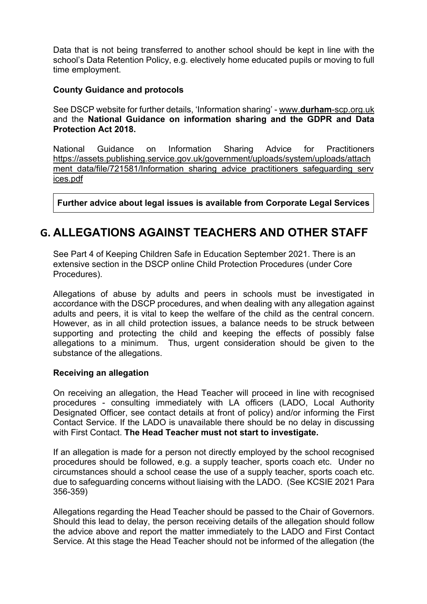Data that is not being transferred to another school should be kept in line with the school's Data Retention Policy, e.g. electively home educated pupils or moving to full time employment.

#### **County Guidance and protocols**

See DSCP website for further details, 'Information sharing' - www.**durham**-scp.org.uk and the **National Guidance on information sharing and the GDPR and Data Protection Act 2018.**

National Guidance on Information Sharing Advice for Practitioners https://assets.publishing.service.gov.uk/government/uploads/system/uploads/attach ment data/file/721581/Information sharing advice practitioners safeguarding serv ices.pdf

**Further advice about legal issues is available from Corporate Legal Services** 

## **G. ALLEGATIONS AGAINST TEACHERS AND OTHER STAFF**

See Part 4 of Keeping Children Safe in Education September 2021. There is an extensive section in the DSCP online Child Protection Procedures (under Core Procedures).

Allegations of abuse by adults and peers in schools must be investigated in accordance with the DSCP procedures, and when dealing with any allegation against adults and peers, it is vital to keep the welfare of the child as the central concern. However, as in all child protection issues, a balance needs to be struck between supporting and protecting the child and keeping the effects of possibly false allegations to a minimum. Thus, urgent consideration should be given to the substance of the allegations.

#### **Receiving an allegation**

On receiving an allegation, the Head Teacher will proceed in line with recognised procedures - consulting immediately with LA officers (LADO, Local Authority Designated Officer, see contact details at front of policy) and/or informing the First Contact Service. If the LADO is unavailable there should be no delay in discussing with First Contact. **The Head Teacher must not start to investigate.**

If an allegation is made for a person not directly employed by the school recognised procedures should be followed, e.g. a supply teacher, sports coach etc. Under no circumstances should a school cease the use of a supply teacher, sports coach etc. due to safeguarding concerns without liaising with the LADO. (See KCSIE 2021 Para 356-359)

Allegations regarding the Head Teacher should be passed to the Chair of Governors. Should this lead to delay, the person receiving details of the allegation should follow the advice above and report the matter immediately to the LADO and First Contact Service. At this stage the Head Teacher should not be informed of the allegation (the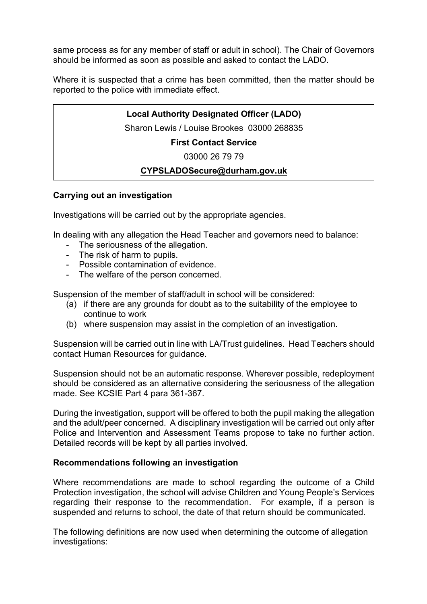same process as for any member of staff or adult in school). The Chair of Governors should be informed as soon as possible and asked to contact the LADO.

Where it is suspected that a crime has been committed, then the matter should be reported to the police with immediate effect.

#### **Local Authority Designated Officer (LADO)**

Sharon Lewis / Louise Brookes 03000 268835

**First Contact Service**

03000 26 79 79

#### **CYPSLADOSecure@durham.gov.uk**

#### **Carrying out an investigation**

Investigations will be carried out by the appropriate agencies.

In dealing with any allegation the Head Teacher and governors need to balance:

- The seriousness of the allegation.
- The risk of harm to pupils.
- Possible contamination of evidence.
- The welfare of the person concerned.

Suspension of the member of staff/adult in school will be considered:

- (a) if there are any grounds for doubt as to the suitability of the employee to continue to work
- (b) where suspension may assist in the completion of an investigation.

Suspension will be carried out in line with LA/Trust guidelines. Head Teachers should contact Human Resources for guidance.

Suspension should not be an automatic response. Wherever possible, redeployment should be considered as an alternative considering the seriousness of the allegation made. See KCSIE Part 4 para 361-367.

During the investigation, support will be offered to both the pupil making the allegation and the adult/peer concerned. A disciplinary investigation will be carried out only after Police and Intervention and Assessment Teams propose to take no further action. Detailed records will be kept by all parties involved.

#### **Recommendations following an investigation**

Where recommendations are made to school regarding the outcome of a Child Protection investigation, the school will advise Children and Young People's Services regarding their response to the recommendation. For example, if a person is suspended and returns to school, the date of that return should be communicated.

The following definitions are now used when determining the outcome of allegation investigations: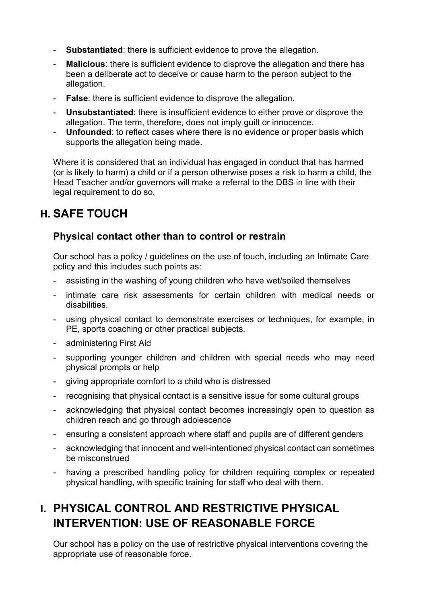- **Substantiated**: there is sufficient evidence to prove the allegation.
- **Malicious**: there is sufficient evidence to disprove the allegation and there has been a deliberate act to deceive or cause harm to the person subject to the allegation.
- **False**: there is sufficient evidence to disprove the allegation.
- **Unsubstantiated**: there is insufficient evidence to either prove or disprove the allegation. The term, therefore, does not imply guilt or innocence.
- **Unfounded**: to reflect cases where there is no evidence or proper basis which supports the allegation being made.

Where it is considered that an individual has engaged in conduct that has harmed (or is likely to harm) a child or if a person otherwise poses a risk to harm a child, the Head Teacher and/or governors will make a referral to the DBS in line with their legal requirement to do so.

## **H. SAFE TOUCH**

## **Physical contact other than to control or restrain**

Our school has a policy / guidelines on the use of touch, including an Intimate Care policy and this includes such points as:

- assisting in the washing of young children who have wet/soiled themselves
- intimate care risk assessments for certain children with medical needs or disabilities.
- using physical contact to demonstrate exercises or techniques, for example, in PE, sports coaching or other practical subjects.
- administering First Aid
- supporting younger children and children with special needs who may need physical prompts or help
- giving appropriate comfort to a child who is distressed
- recognising that physical contact is a sensitive issue for some cultural groups
- acknowledging that physical contact becomes increasingly open to question as children reach and go through adolescence
- ensuring a consistent approach where staff and pupils are of different genders
- acknowledging that innocent and well-intentioned physical contact can sometimes be misconstrued
- having a prescribed handling policy for children requiring complex or repeated physical handling, with specific training for staff who deal with them.

# **I. PHYSICAL CONTROL AND RESTRICTIVE PHYSICAL INTERVENTION: USE OF REASONABLE FORCE**

Our school has a policy on the use of restrictive physical interventions covering the appropriate use of reasonable force.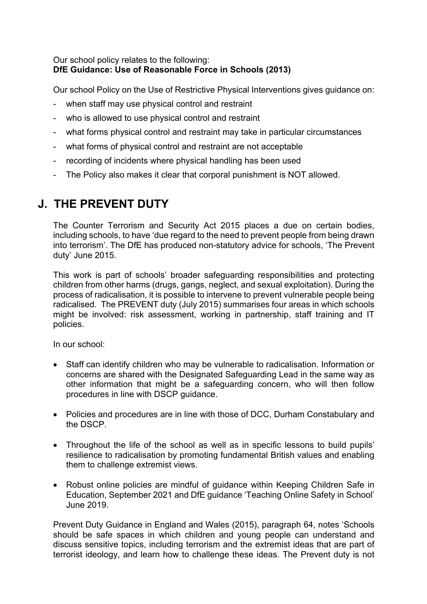#### Our school policy relates to the following: **DfE Guidance: Use of Reasonable Force in Schools (2013)**

Our school Policy on the Use of Restrictive Physical Interventions gives guidance on:

- when staff may use physical control and restraint
- who is allowed to use physical control and restraint
- what forms physical control and restraint may take in particular circumstances
- what forms of physical control and restraint are not acceptable
- recording of incidents where physical handling has been used
- The Policy also makes it clear that corporal punishment is NOT allowed.

# **J. THE PREVENT DUTY**

The Counter Terrorism and Security Act 2015 places a due on certain bodies, including schools, to have 'due regard to the need to prevent people from being drawn into terrorism'. The DfE has produced non-statutory advice for schools, 'The Prevent duty' June 2015.

This work is part of schools' broader safeguarding responsibilities and protecting children from other harms (drugs, gangs, neglect, and sexual exploitation). During the process of radicalisation, it is possible to intervene to prevent vulnerable people being radicalised. The PREVENT duty (July 2015) summarises four areas in which schools might be involved: risk assessment, working in partnership, staff training and IT policies.

In our school:

- Staff can identify children who may be vulnerable to radicalisation. Information or concerns are shared with the Designated Safeguarding Lead in the same way as other information that might be a safeguarding concern, who will then follow procedures in line with DSCP guidance.
- Policies and procedures are in line with those of DCC, Durham Constabulary and the DSCP.
- Throughout the life of the school as well as in specific lessons to build pupils' resilience to radicalisation by promoting fundamental British values and enabling them to challenge extremist views.
- Robust online policies are mindful of guidance within Keeping Children Safe in Education, September 2021 and DfE guidance 'Teaching Online Safety in School' June 2019.

Prevent Duty Guidance in England and Wales (2015), paragraph 64, notes 'Schools should be safe spaces in which children and young people can understand and discuss sensitive topics, including terrorism and the extremist ideas that are part of terrorist ideology, and learn how to challenge these ideas. The Prevent duty is not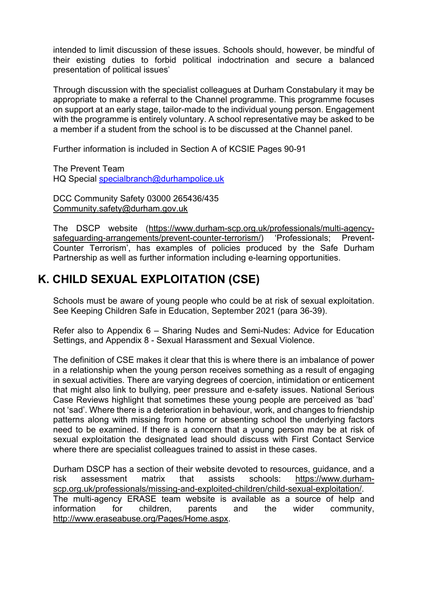intended to limit discussion of these issues. Schools should, however, be mindful of their existing duties to forbid political indoctrination and secure a balanced presentation of political issues'

Through discussion with the specialist colleagues at Durham Constabulary it may be appropriate to make a referral to the Channel programme. This programme focuses on support at an early stage, tailor-made to the individual young person. Engagement with the programme is entirely voluntary. A school representative may be asked to be a member if a student from the school is to be discussed at the Channel panel.

Further information is included in Section A of KCSIE Pages 90-91

The Prevent Team HQ Special specialbranch@durhampolice.uk

DCC Community Safety 03000 265436/435 Community.safety@durham.gov.uk

The DSCP website (https://www.durham-scp.org.uk/professionals/multi-agencysafeguarding-arrangements/prevent-counter-terrorism/) 'Professionals; Prevent-Counter Terrorism', has examples of policies produced by the Safe Durham Partnership as well as further information including e-learning opportunities.

## **K. CHILD SEXUAL EXPLOITATION (CSE)**

Schools must be aware of young people who could be at risk of sexual exploitation. See Keeping Children Safe in Education, September 2021 (para 36-39).

Refer also to Appendix 6 – Sharing Nudes and Semi-Nudes: Advice for Education Settings, and Appendix 8 - Sexual Harassment and Sexual Violence.

The definition of CSE makes it clear that this is where there is an imbalance of power in a relationship when the young person receives something as a result of engaging in sexual activities. There are varying degrees of coercion, intimidation or enticement that might also link to bullying, peer pressure and e-safety issues. National Serious Case Reviews highlight that sometimes these young people are perceived as 'bad' not 'sad'. Where there is a deterioration in behaviour, work, and changes to friendship patterns along with missing from home or absenting school the underlying factors need to be examined. If there is a concern that a young person may be at risk of sexual exploitation the designated lead should discuss with First Contact Service where there are specialist colleagues trained to assist in these cases.

Durham DSCP has a section of their website devoted to resources, guidance, and a risk assessment matrix that assists schools: https://www.durhamscp.org.uk/professionals/missing-and-exploited-children/child-sexual-exploitation/. The multi-agency ERASE team website is available as a source of help and information for children, parents and the wider community, http://www.eraseabuse.org/Pages/Home.aspx.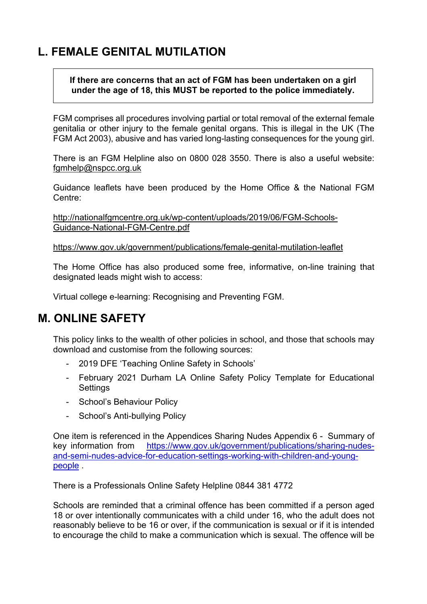# **L. FEMALE GENITAL MUTILATION**

**If there are concerns that an act of FGM has been undertaken on a girl under the age of 18, this MUST be reported to the police immediately.**

FGM comprises all procedures involving partial or total removal of the external female genitalia or other injury to the female genital organs. This is illegal in the UK (The FGM Act 2003), abusive and has varied long-lasting consequences for the young girl.

There is an FGM Helpline also on 0800 028 3550. There is also a useful website: fgmhelp@nspcc.org.uk

Guidance leaflets have been produced by the Home Office & the National FGM Centre:

http://nationalfgmcentre.org.uk/wp-content/uploads/2019/06/FGM-Schools-Guidance-National-FGM-Centre.pdf

https://www.gov.uk/government/publications/female-genital-mutilation-leaflet

The Home Office has also produced some free, informative, on-line training that designated leads might wish to access:

Virtual college e-learning: Recognising and Preventing FGM.

## **M. ONLINE SAFETY**

This policy links to the wealth of other policies in school, and those that schools may download and customise from the following sources:

- 2019 DFE 'Teaching Online Safety in Schools'
- February 2021 Durham LA Online Safety Policy Template for Educational **Settings**
- School's Behaviour Policy
- School's Anti-bullying Policy

One item is referenced in the Appendices Sharing Nudes Appendix 6 - Summary of key information from https://www.gov.uk/government/publications/sharing-nudesand-semi-nudes-advice-for-education-settings-working-with-children-and-youngpeople .

There is a Professionals Online Safety Helpline 0844 381 4772

Schools are reminded that a criminal offence has been committed if a person aged 18 or over intentionally communicates with a child under 16, who the adult does not reasonably believe to be 16 or over, if the communication is sexual or if it is intended to encourage the child to make a communication which is sexual. The offence will be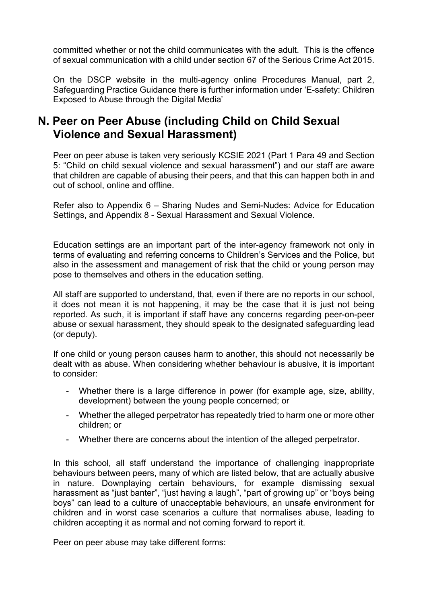committed whether or not the child communicates with the adult. This is the offence of sexual communication with a child under section 67 of the Serious Crime Act 2015.

On the DSCP website in the multi-agency online Procedures Manual, part 2, Safeguarding Practice Guidance there is further information under 'E-safety: Children Exposed to Abuse through the Digital Media'

## **N. Peer on Peer Abuse (including Child on Child Sexual Violence and Sexual Harassment)**

Peer on peer abuse is taken very seriously KCSIE 2021 (Part 1 Para 49 and Section 5: "Child on child sexual violence and sexual harassment") and our staff are aware that children are capable of abusing their peers, and that this can happen both in and out of school, online and offline.

Refer also to Appendix 6 – Sharing Nudes and Semi-Nudes: Advice for Education Settings, and Appendix 8 - Sexual Harassment and Sexual Violence.

Education settings are an important part of the inter-agency framework not only in terms of evaluating and referring concerns to Children's Services and the Police, but also in the assessment and management of risk that the child or young person may pose to themselves and others in the education setting.

All staff are supported to understand, that, even if there are no reports in our school, it does not mean it is not happening, it may be the case that it is just not being reported. As such, it is important if staff have any concerns regarding peer-on-peer abuse or sexual harassment, they should speak to the designated safeguarding lead (or deputy).

If one child or young person causes harm to another, this should not necessarily be dealt with as abuse. When considering whether behaviour is abusive, it is important to consider:

- Whether there is a large difference in power (for example age, size, ability, development) between the young people concerned; or
- Whether the alleged perpetrator has repeatedly tried to harm one or more other children; or
- Whether there are concerns about the intention of the alleged perpetrator.

In this school, all staff understand the importance of challenging inappropriate behaviours between peers, many of which are listed below, that are actually abusive in nature. Downplaying certain behaviours, for example dismissing sexual harassment as "just banter", "just having a laugh", "part of growing up" or "boys being boys" can lead to a culture of unacceptable behaviours, an unsafe environment for children and in worst case scenarios a culture that normalises abuse, leading to children accepting it as normal and not coming forward to report it.

Peer on peer abuse may take different forms: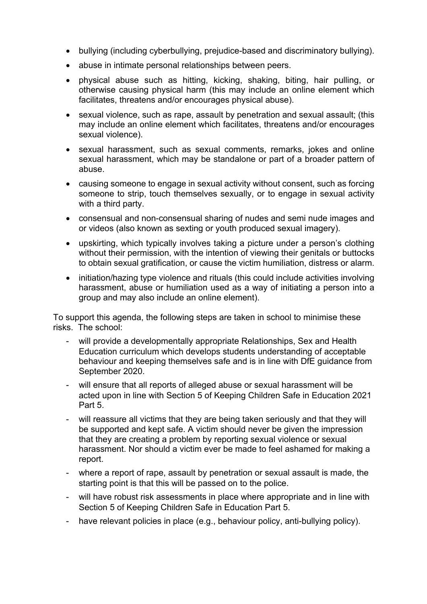- bullying (including cyberbullying, prejudice-based and discriminatory bullying).
- abuse in intimate personal relationships between peers.
- physical abuse such as hitting, kicking, shaking, biting, hair pulling, or otherwise causing physical harm (this may include an online element which facilitates, threatens and/or encourages physical abuse).
- sexual violence, such as rape, assault by penetration and sexual assault; (this may include an online element which facilitates, threatens and/or encourages sexual violence).
- sexual harassment, such as sexual comments, remarks, jokes and online sexual harassment, which may be standalone or part of a broader pattern of abuse.
- causing someone to engage in sexual activity without consent, such as forcing someone to strip, touch themselves sexually, or to engage in sexual activity with a third party.
- consensual and non-consensual sharing of nudes and semi nude images and or videos (also known as sexting or youth produced sexual imagery).
- upskirting, which typically involves taking a picture under a person's clothing without their permission, with the intention of viewing their genitals or buttocks to obtain sexual gratification, or cause the victim humiliation, distress or alarm.
- initiation/hazing type violence and rituals (this could include activities involving harassment, abuse or humiliation used as a way of initiating a person into a group and may also include an online element).

To support this agenda, the following steps are taken in school to minimise these risks. The school:

- will provide a developmentally appropriate Relationships, Sex and Health Education curriculum which develops students understanding of acceptable behaviour and keeping themselves safe and is in line with DfE guidance from September 2020.
- will ensure that all reports of alleged abuse or sexual harassment will be acted upon in line with Section 5 of Keeping Children Safe in Education 2021 Part 5.
- will reassure all victims that they are being taken seriously and that they will be supported and kept safe. A victim should never be given the impression that they are creating a problem by reporting sexual violence or sexual harassment. Nor should a victim ever be made to feel ashamed for making a report.
- where a report of rape, assault by penetration or sexual assault is made, the starting point is that this will be passed on to the police.
- will have robust risk assessments in place where appropriate and in line with Section 5 of Keeping Children Safe in Education Part 5.
- have relevant policies in place (e.g., behaviour policy, anti-bullying policy).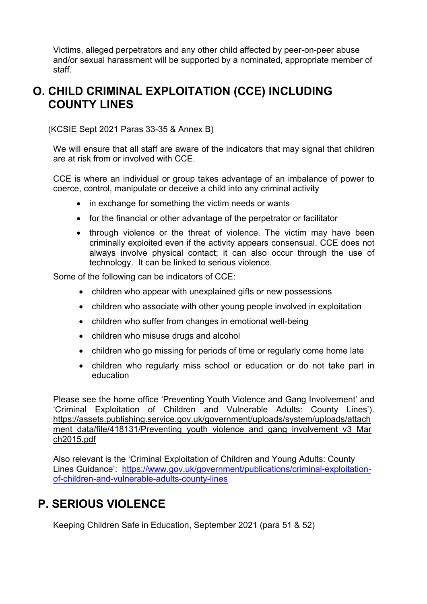Victims, alleged perpetrators and any other child affected by peer-on-peer abuse and/or sexual harassment will be supported by a nominated, appropriate member of staff.

## **O. CHILD CRIMINAL EXPLOITATION (CCE) INCLUDING COUNTY LINES**

(KCSIE Sept 2021 Paras 33-35 & Annex B)

We will ensure that all staff are aware of the indicators that may signal that children are at risk from or involved with CCE.

CCE is where an individual or group takes advantage of an imbalance of power to coerce, control, manipulate or deceive a child into any criminal activity

- in exchange for something the victim needs or wants
- for the financial or other advantage of the perpetrator or facilitator
- through violence or the threat of violence. The victim may have been criminally exploited even if the activity appears consensual. CCE does not always involve physical contact; it can also occur through the use of technology. It can be linked to serious violence.

Some of the following can be indicators of CCE:

- children who appear with unexplained gifts or new possessions
- children who associate with other young people involved in exploitation
- children who suffer from changes in emotional well-being
- children who misuse drugs and alcohol
- children who go missing for periods of time or regularly come home late
- children who regularly miss school or education or do not take part in education

Please see the home office 'Preventing Youth Violence and Gang Involvement' and 'Criminal Exploitation of Children and Vulnerable Adults: County Lines'). https://assets.publishing.service.gov.uk/government/uploads/system/uploads/attach ment data/file/418131/Preventing youth violence and gang involvement v3 Mar ch2015.pdf

Also relevant is the 'Criminal Exploitation of Children and Young Adults: County Lines Guidance': https://www.gov.uk/government/publications/criminal-exploitationof-children-and-vulnerable-adults-county-lines

# **P. SERIOUS VIOLENCE**

Keeping Children Safe in Education, September 2021 (para 51 & 52)